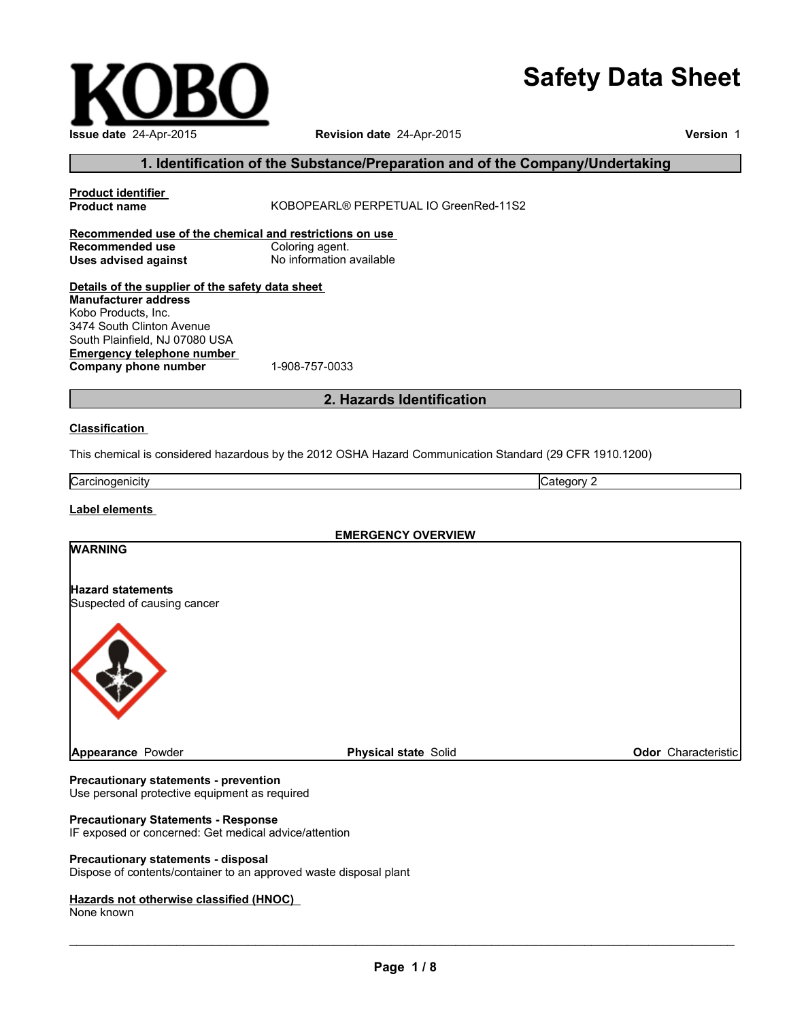# **Safety Data Sheet**

| Issue date 24-Apr-2015  |
|-------------------------|
| 1. Identification of th |
| .<br>.                  |

#### **Revision date** 24-Apr-2015

**Version** 1

## **1. It Substance/Preparation and of the Company/Undertaking**

| <b>Product name</b>                                     | KOBOPEARL® PERPETUAL IO GreenRed-11S2                                                                   |                     |  |  |
|---------------------------------------------------------|---------------------------------------------------------------------------------------------------------|---------------------|--|--|
| Recommended use of the chemical and restrictions on use |                                                                                                         |                     |  |  |
| <b>Recommended use</b>                                  | Coloring agent.                                                                                         |                     |  |  |
| <b>Uses advised against</b>                             | No information available                                                                                |                     |  |  |
|                                                         |                                                                                                         |                     |  |  |
| Details of the supplier of the safety data sheet        |                                                                                                         |                     |  |  |
| <b>Manufacturer address</b>                             |                                                                                                         |                     |  |  |
| Kobo Products, Inc.                                     |                                                                                                         |                     |  |  |
| 3474 South Clinton Avenue                               |                                                                                                         |                     |  |  |
| South Plainfield, NJ 07080 USA                          |                                                                                                         |                     |  |  |
| <b>Emergency telephone number</b>                       |                                                                                                         |                     |  |  |
| Company phone number                                    | 1-908-757-0033                                                                                          |                     |  |  |
|                                                         |                                                                                                         |                     |  |  |
|                                                         | 2. Hazards Identification                                                                               |                     |  |  |
| <b>Classification</b>                                   |                                                                                                         |                     |  |  |
|                                                         |                                                                                                         |                     |  |  |
|                                                         | This chemical is considered hazardous by the 2012 OSHA Hazard Communication Standard (29 CFR 1910.1200) |                     |  |  |
|                                                         |                                                                                                         |                     |  |  |
| Carcinogenicity                                         | Category 2                                                                                              |                     |  |  |
|                                                         |                                                                                                         |                     |  |  |
| Label elements                                          |                                                                                                         |                     |  |  |
|                                                         |                                                                                                         |                     |  |  |
|                                                         | <b>EMERGENCY OVERVIEW</b>                                                                               |                     |  |  |
| <b>WARNING</b>                                          |                                                                                                         |                     |  |  |
|                                                         |                                                                                                         |                     |  |  |
|                                                         |                                                                                                         |                     |  |  |
|                                                         |                                                                                                         |                     |  |  |
| <b>Hazard statements</b><br>Suspected of causing cancer |                                                                                                         |                     |  |  |
|                                                         |                                                                                                         |                     |  |  |
|                                                         |                                                                                                         |                     |  |  |
|                                                         |                                                                                                         |                     |  |  |
|                                                         |                                                                                                         |                     |  |  |
|                                                         |                                                                                                         |                     |  |  |
|                                                         |                                                                                                         |                     |  |  |
|                                                         |                                                                                                         |                     |  |  |
| Appearance Powder                                       | <b>Physical state Solid</b>                                                                             | Odor Characteristic |  |  |

#### **Precautionary statements - prevention** Use personal protective equipment as required

## **Precautionary Statements - Response**

IF exposed or concerned: Get medical advice/attention

#### **Precautionary statements - disposal**

Dispose of contents/container to an approved waste disposal plant

#### **Hazards not otherwise classified (HNOC)**

None known

\_\_\_\_\_\_\_\_\_\_\_\_\_\_\_\_\_\_\_\_\_\_\_\_\_\_\_\_\_\_\_\_\_\_\_\_\_\_\_\_\_\_\_\_\_\_\_\_\_\_\_\_\_\_\_\_\_\_\_\_\_\_\_\_\_\_\_\_\_\_\_\_\_\_\_\_\_\_\_\_\_\_\_\_\_\_\_\_\_\_\_\_\_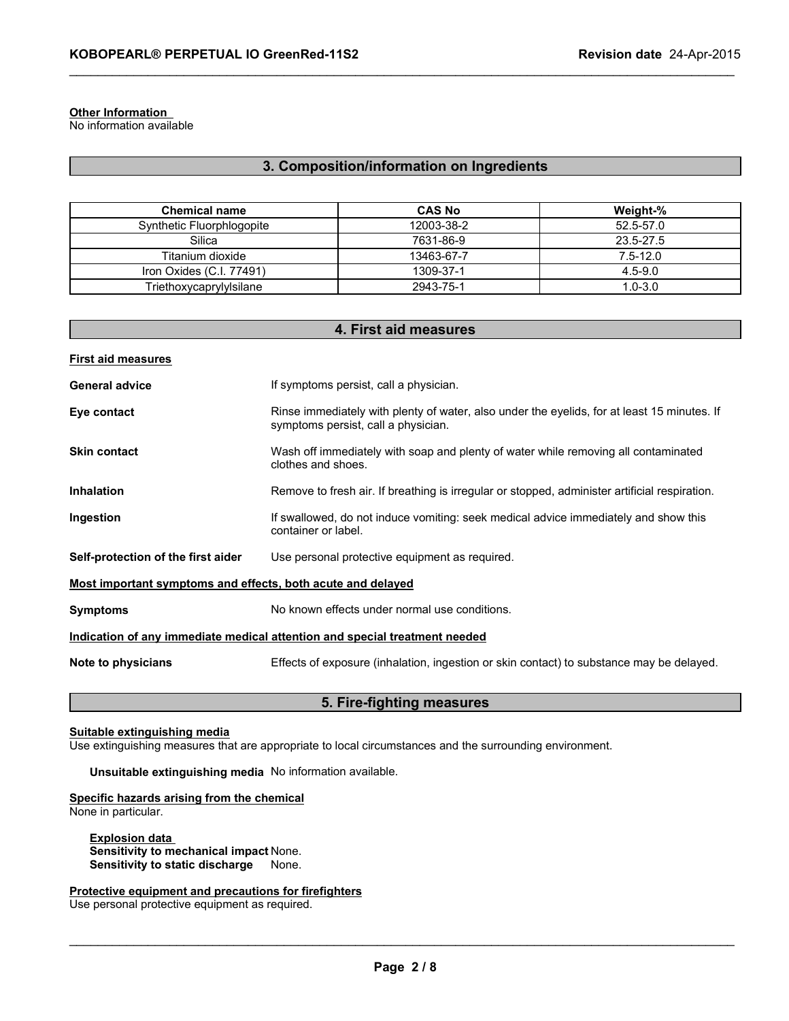## **Other Information**

No information available

## **3. Composition/information on Ingredients**

\_\_\_\_\_\_\_\_\_\_\_\_\_\_\_\_\_\_\_\_\_\_\_\_\_\_\_\_\_\_\_\_\_\_\_\_\_\_\_\_\_\_\_\_\_\_\_\_\_\_\_\_\_\_\_\_\_\_\_\_\_\_\_\_\_\_\_\_\_\_\_\_\_\_\_\_\_\_\_\_\_\_\_\_\_\_\_\_\_\_\_\_\_

| <b>Chemical name</b>      | <b>CAS No</b> | Weight-%     |
|---------------------------|---------------|--------------|
| Synthetic Fluorphlogopite | 12003-38-2    | 52.5-57.0    |
| Silica                    | 7631-86-9     | 23.5-27.5    |
| Titanium dioxide          | 13463-67-7    | $7.5 - 12.0$ |
| Iron Oxides (C.I. 77491)  | 1309-37-1     | $4.5 - 9.0$  |
| Triethoxycaprylylsilane   | 2943-75-1     | $1.0 - 3.0$  |

| 4. First aid measures                                                      |                                                                                                                                    |  |
|----------------------------------------------------------------------------|------------------------------------------------------------------------------------------------------------------------------------|--|
| <b>First aid measures</b>                                                  |                                                                                                                                    |  |
| <b>General advice</b>                                                      | If symptoms persist, call a physician.                                                                                             |  |
| Eye contact                                                                | Rinse immediately with plenty of water, also under the eyelids, for at least 15 minutes. If<br>symptoms persist, call a physician. |  |
| <b>Skin contact</b>                                                        | Wash off immediately with soap and plenty of water while removing all contaminated<br>clothes and shoes.                           |  |
| <b>Inhalation</b>                                                          | Remove to fresh air. If breathing is irregular or stopped, administer artificial respiration.                                      |  |
| Ingestion                                                                  | If swallowed, do not induce vomiting: seek medical advice immediately and show this<br>container or label.                         |  |
| Self-protection of the first aider                                         | Use personal protective equipment as required.                                                                                     |  |
| Most important symptoms and effects, both acute and delayed                |                                                                                                                                    |  |
| <b>Symptoms</b>                                                            | No known effects under normal use conditions.                                                                                      |  |
| Indication of any immediate medical attention and special treatment needed |                                                                                                                                    |  |
| Note to physicians                                                         | Effects of exposure (inhalation, ingestion or skin contact) to substance may be delayed.                                           |  |
|                                                                            |                                                                                                                                    |  |

#### **5. Fire-fighting measures**

#### **Suitable extinguishing media**

Use extinguishing measures that are appropriate to local circumstances and the surrounding environment.

**Unsuitable extinguishing media** No information available.

## **Specific hazards arising from the chemical**

None in particular.

**Explosion data Sensitivity to mechanical impact** None. **Sensitivity to static discharge** None.

**Protective equipment and precautions for firefighters**

Use personal protective equipment as required.

\_\_\_\_\_\_\_\_\_\_\_\_\_\_\_\_\_\_\_\_\_\_\_\_\_\_\_\_\_\_\_\_\_\_\_\_\_\_\_\_\_\_\_\_\_\_\_\_\_\_\_\_\_\_\_\_\_\_\_\_\_\_\_\_\_\_\_\_\_\_\_\_\_\_\_\_\_\_\_\_\_\_\_\_\_\_\_\_\_\_\_\_\_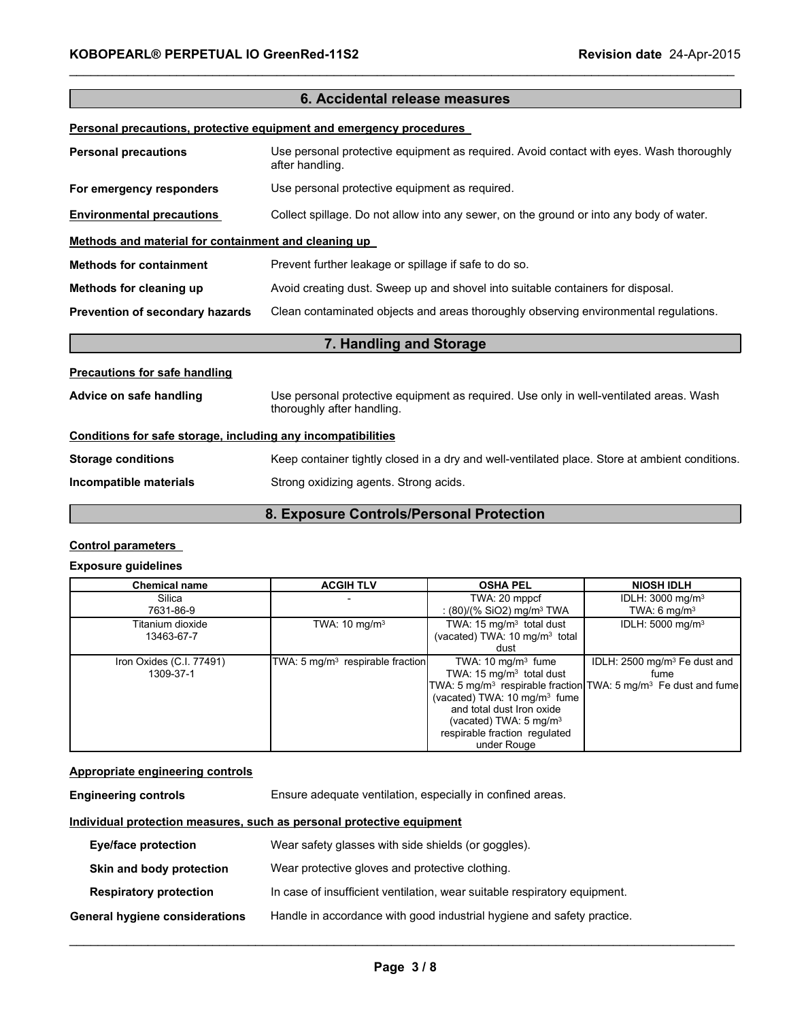| 6. Accidental release measures                               |                                                                                                                      |  |
|--------------------------------------------------------------|----------------------------------------------------------------------------------------------------------------------|--|
|                                                              | Personal precautions, protective equipment and emergency procedures                                                  |  |
| <b>Personal precautions</b>                                  | Use personal protective equipment as required. Avoid contact with eyes. Wash thoroughly<br>after handling.           |  |
| For emergency responders                                     | Use personal protective equipment as required.                                                                       |  |
| <b>Environmental precautions</b>                             | Collect spillage. Do not allow into any sewer, on the ground or into any body of water.                              |  |
| Methods and material for containment and cleaning up         |                                                                                                                      |  |
| <b>Methods for containment</b>                               | Prevent further leakage or spillage if safe to do so.                                                                |  |
| Methods for cleaning up                                      | Avoid creating dust. Sweep up and shovel into suitable containers for disposal.                                      |  |
| Prevention of secondary hazards                              | Clean contaminated objects and areas thoroughly observing environmental regulations.                                 |  |
|                                                              | 7. Handling and Storage                                                                                              |  |
| <b>Precautions for safe handling</b>                         |                                                                                                                      |  |
| Advice on safe handling                                      | Use personal protective equipment as required. Use only in well-ventilated areas. Wash<br>thoroughly after handling. |  |
| Conditions for safe storage, including any incompatibilities |                                                                                                                      |  |
| <b>Storage conditions</b>                                    | Keep container tightly closed in a dry and well-ventilated place. Store at ambient conditions.                       |  |
| Incompatible materials                                       | Strong oxidizing agents. Strong acids.                                                                               |  |

\_\_\_\_\_\_\_\_\_\_\_\_\_\_\_\_\_\_\_\_\_\_\_\_\_\_\_\_\_\_\_\_\_\_\_\_\_\_\_\_\_\_\_\_\_\_\_\_\_\_\_\_\_\_\_\_\_\_\_\_\_\_\_\_\_\_\_\_\_\_\_\_\_\_\_\_\_\_\_\_\_\_\_\_\_\_\_\_\_\_\_\_\_

## **8. Exposure Controls/Personal Protection**

#### **Control parameters**

#### **Exposure guidelines**

| <b>Chemical name</b>                  | <b>ACGIH TLV</b>                             | <b>OSHA PEL</b>                                                                                                                                                                                                                     | <b>NIOSH IDLH</b>                                                                                                                          |
|---------------------------------------|----------------------------------------------|-------------------------------------------------------------------------------------------------------------------------------------------------------------------------------------------------------------------------------------|--------------------------------------------------------------------------------------------------------------------------------------------|
| Silica<br>7631-86-9                   |                                              | TWA: 20 mppcf<br>: $(80)/(%$ SiO2) mg/m <sup>3</sup> TWA                                                                                                                                                                            | IDLH: 3000 mg/m <sup>3</sup><br>TWA: $6 \text{ mg/m}^3$                                                                                    |
| Titanium dioxide<br>13463-67-7        | TWA: $10 \text{ mg/m}^3$                     | TWA: 15 mg/m <sup>3</sup> total dust<br>(vacated) TWA: 10 mg/m <sup>3</sup> total<br>dust                                                                                                                                           | IDLH: 5000 mg/m <sup>3</sup>                                                                                                               |
| Iron Oxides (C.I. 77491)<br>1309-37-1 | TWA: 5 mg/m <sup>3</sup> respirable fraction | TWA: $10 \text{ mg/m}^3$ fume<br>TWA: 15 mg/m <sup>3</sup> total dust<br>(vacated) TWA: 10 mg/m <sup>3</sup> fume<br>and total dust Iron oxide<br>(vacated) TWA: $5 \text{ mg/m}^3$<br>respirable fraction regulated<br>under Rouge | IDLH: 2500 mg/m <sup>3</sup> Fe dust and<br>fume<br>TWA: 5 mg/m <sup>3</sup> respirable fraction TWA: 5 mg/m <sup>3</sup> Fe dust and fume |

#### **Appropriate engineering controls**

| <b>Engineering controls</b> | Ensure adequate ventilation, especially in confined areas. |  |
|-----------------------------|------------------------------------------------------------|--|
|                             |                                                            |  |

#### **Individual protection measures, such as personal protective equipment**

| <b>Eye/face protection</b>     | Wear safety glasses with side shields (or goggles).                       |
|--------------------------------|---------------------------------------------------------------------------|
| Skin and body protection       | Wear protective gloves and protective clothing.                           |
| <b>Respiratory protection</b>  | In case of insufficient ventilation, wear suitable respiratory equipment. |
| General hygiene considerations | Handle in accordance with good industrial hygiene and safety practice.    |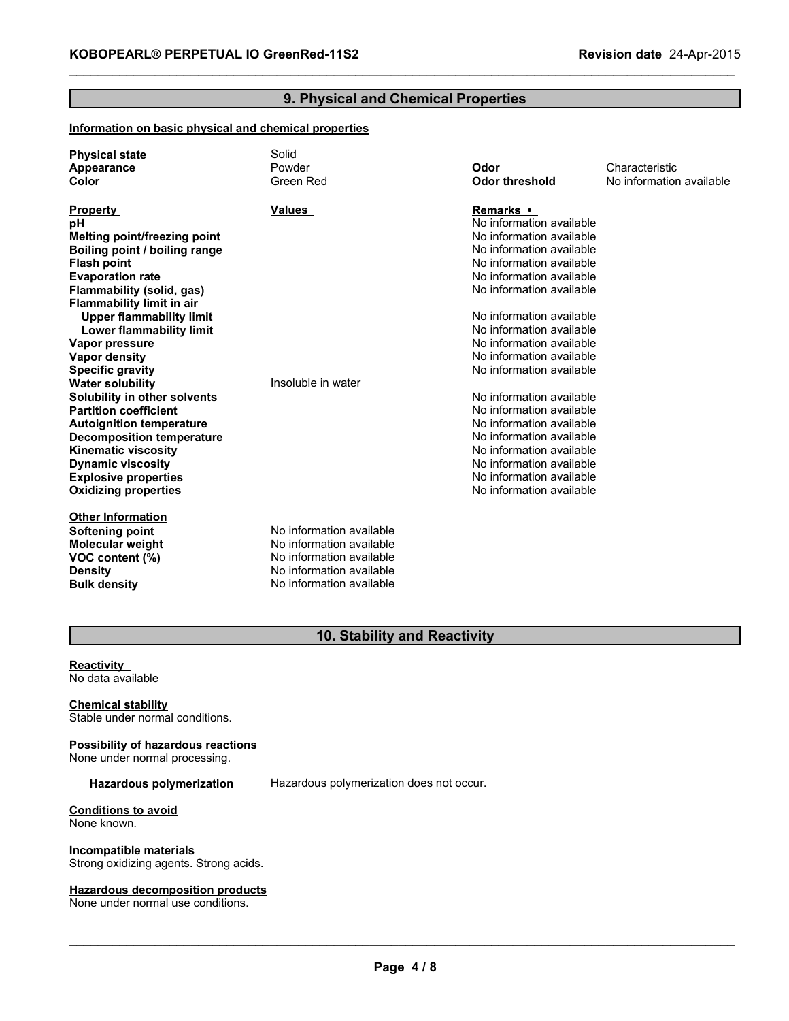## **9. Physical and Chemical Properties**

\_\_\_\_\_\_\_\_\_\_\_\_\_\_\_\_\_\_\_\_\_\_\_\_\_\_\_\_\_\_\_\_\_\_\_\_\_\_\_\_\_\_\_\_\_\_\_\_\_\_\_\_\_\_\_\_\_\_\_\_\_\_\_\_\_\_\_\_\_\_\_\_\_\_\_\_\_\_\_\_\_\_\_\_\_\_\_\_\_\_\_\_\_

#### **Information on basic physical and chemical properties**

| <b>Physical state</b><br>Appearance<br>Color | Solid<br>Powder<br>Green Red | Odor<br><b>Odor threshold</b> | Characteristic<br>No information available |
|----------------------------------------------|------------------------------|-------------------------------|--------------------------------------------|
| <b>Property</b>                              | <b>Values</b>                | Remarks •                     |                                            |
| pH                                           |                              | No information available      |                                            |
| <b>Melting point/freezing point</b>          |                              | No information available      |                                            |
| Boiling point / boiling range                |                              | No information available      |                                            |
| <b>Flash point</b>                           |                              | No information available      |                                            |
| <b>Evaporation rate</b>                      |                              | No information available      |                                            |
| Flammability (solid, gas)                    |                              | No information available      |                                            |
| <b>Flammability limit in air</b>             |                              |                               |                                            |
| <b>Upper flammability limit</b>              |                              | No information available      |                                            |
| <b>Lower flammability limit</b>              |                              | No information available      |                                            |
| Vapor pressure                               |                              | No information available      |                                            |
| <b>Vapor density</b>                         |                              | No information available      |                                            |
| <b>Specific gravity</b>                      |                              | No information available      |                                            |
| <b>Water solubility</b>                      | Insoluble in water           |                               |                                            |
| Solubility in other solvents                 |                              | No information available      |                                            |
| <b>Partition coefficient</b>                 |                              | No information available      |                                            |
| <b>Autoignition temperature</b>              |                              | No information available      |                                            |
| <b>Decomposition temperature</b>             |                              | No information available      |                                            |
| <b>Kinematic viscosity</b>                   |                              | No information available      |                                            |
| <b>Dynamic viscosity</b>                     |                              | No information available      |                                            |
| <b>Explosive properties</b>                  |                              | No information available      |                                            |
| <b>Oxidizing properties</b>                  |                              | No information available      |                                            |
| <b>Other Information</b>                     |                              |                               |                                            |
| <b>Softening point</b>                       | No information available     |                               |                                            |
| <b>Molecular weight</b>                      | No information available     |                               |                                            |
| VOC content (%)                              | No information available     |                               |                                            |
| <b>Density</b>                               | No information available     |                               |                                            |
| <b>Bulk density</b>                          | No information available     |                               |                                            |

## **10. Stability and Reactivity**

#### **Reactivity** No data available

#### **Chemical stability** Stable under normal conditions.

**Possibility of hazardous reactions**

None under normal processing.

**Hazardous polymerization** Hazardous polymerization does not occur.

**Conditions to avoid** None known.

**Incompatible materials** Strong oxidizing agents. Strong acids.

#### **Hazardous decomposition products**

None under normal use conditions.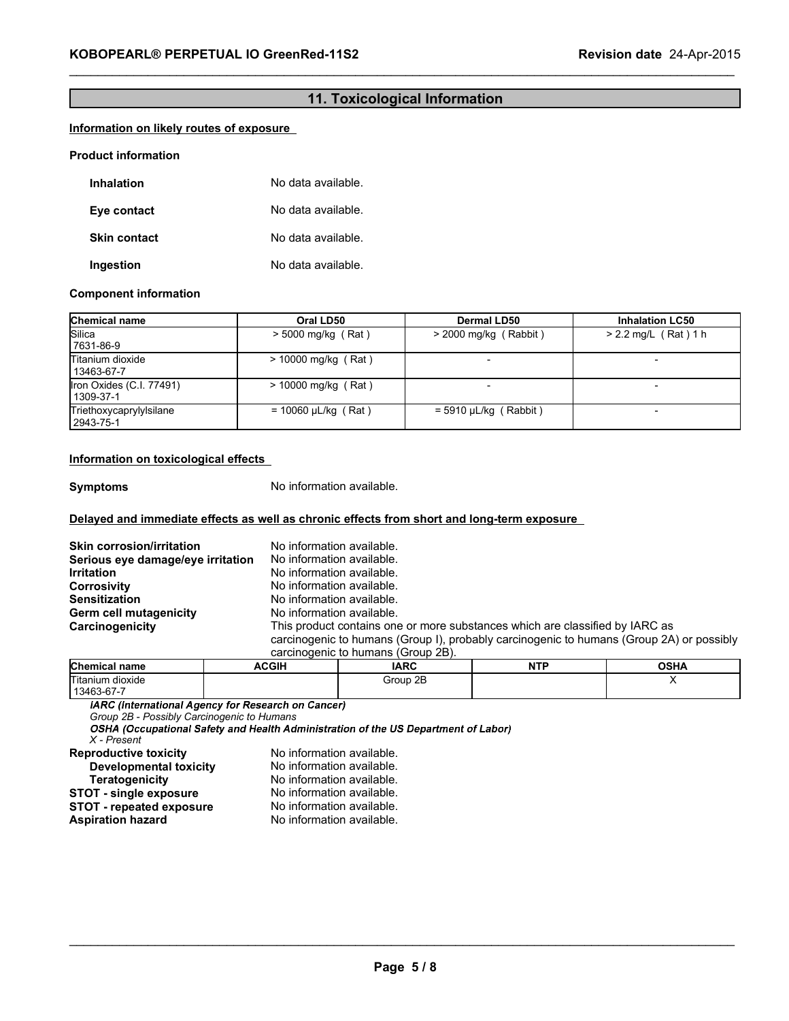## **11. Toxicological Information**

\_\_\_\_\_\_\_\_\_\_\_\_\_\_\_\_\_\_\_\_\_\_\_\_\_\_\_\_\_\_\_\_\_\_\_\_\_\_\_\_\_\_\_\_\_\_\_\_\_\_\_\_\_\_\_\_\_\_\_\_\_\_\_\_\_\_\_\_\_\_\_\_\_\_\_\_\_\_\_\_\_\_\_\_\_\_\_\_\_\_\_\_\_

#### **Information on likely routes of exposure**

#### **Product information**

| Inhalation          | No data available. |
|---------------------|--------------------|
| Eye contact         | No data available. |
| <b>Skin contact</b> | No data available. |
| Ingestion           | No data available. |

#### **Component information**

| <b>Chemical name</b>                  | Oral LD50                | <b>Dermal LD50</b>      | <b>Inhalation LC50</b>   |
|---------------------------------------|--------------------------|-------------------------|--------------------------|
| Silica<br>7631-86-9                   | $> 5000$ mg/kg (Rat)     | $>$ 2000 mg/kg (Rabbit) | $> 2.2$ mg/L (Rat) 1 h   |
| Titanium dioxide<br>13463-67-7        | $> 10000$ mg/kg (Rat)    |                         |                          |
| Iron Oxides (C.I. 77491)<br>1309-37-1 | $> 10000$ mg/kg (Rat)    |                         |                          |
| Triethoxycaprylylsilane<br>2943-75-1  | $= 10060 \mu L/kg$ (Rat) | $=$ 5910 µL/kg (Rabbit) | $\overline{\phantom{0}}$ |

#### **Information on toxicological effects**

**Symptoms** No information available.

#### **Delayed and immediate effects as well as chronic effects from short and long-term exposure**

| <b>Skin corrosion/irritation</b>  | No information available.                                                                |
|-----------------------------------|------------------------------------------------------------------------------------------|
| Serious eye damage/eye irritation | No information available.                                                                |
| <b>Irritation</b>                 | No information available.                                                                |
| <b>Corrosivity</b>                | No information available.                                                                |
| <b>Sensitization</b>              | No information available.                                                                |
| Germ cell mutagenicity            | No information available.                                                                |
| Carcinogenicity                   | This product contains one or more substances which are classified by IARC as             |
|                                   | carcinogenic to humans (Group I), probably carcinogenic to humans (Group 2A) or possibly |
|                                   | carcinogenic to humans (Group 2B).                                                       |

| <b>Chemical name</b> | <b>ACGIH</b> | <b>IARC</b> | .<br>NT<br>. . | <b>OSHA</b> |
|----------------------|--------------|-------------|----------------|-------------|
| Titanium dioxide     |              | Group 2B    |                |             |
| 13463-67-7           |              |             |                |             |

*Group 2B - Possibly Carcinogenic to Humans*

*X - Present* **Reproductive toxicity** No information available.

| Developmental toxicity        | No information available. |
|-------------------------------|---------------------------|
| <b>Teratogenicity</b>         | No information available. |
| <b>STOT - single exposure</b> | No information available. |
| STOT - repeated exposure      | No information available. |
| Aspiration hazard             | No information available. |

 $\_$  . The contribution of the contribution of the contribution of the contribution of the contribution of the contribution of the contribution of the contribution of the contribution of the contribution of the contributio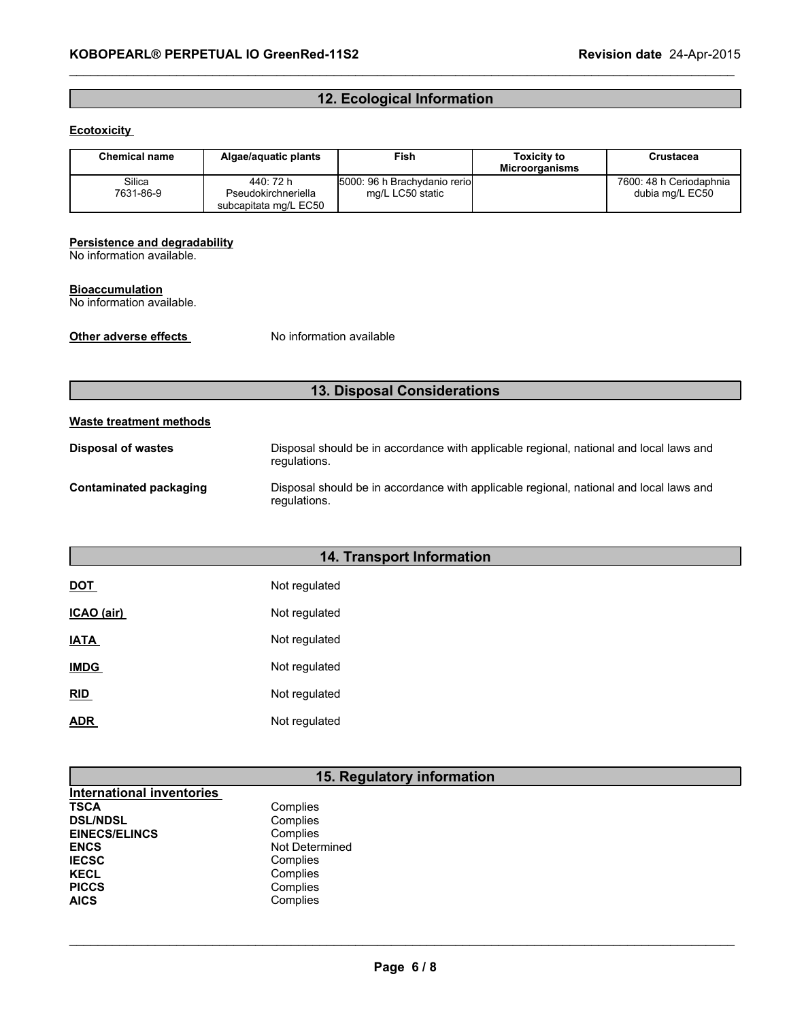## **12. Ecological Information**

\_\_\_\_\_\_\_\_\_\_\_\_\_\_\_\_\_\_\_\_\_\_\_\_\_\_\_\_\_\_\_\_\_\_\_\_\_\_\_\_\_\_\_\_\_\_\_\_\_\_\_\_\_\_\_\_\_\_\_\_\_\_\_\_\_\_\_\_\_\_\_\_\_\_\_\_\_\_\_\_\_\_\_\_\_\_\_\_\_\_\_\_\_

#### **Ecotoxicity**

| <b>Chemical name</b> | Algae/aquatic plants                                      | Fish                                              | <b>Toxicity to</b><br><b>Microorganisms</b> | Crustacea                                  |
|----------------------|-----------------------------------------------------------|---------------------------------------------------|---------------------------------------------|--------------------------------------------|
| Silica<br>7631-86-9  | 440: 72 h<br>Pseudokirchneriella<br>subcapitata mg/L EC50 | 5000: 96 h Brachydanio reriol<br>mg/L LC50 static |                                             | 7600: 48 h Ceriodaphnia<br>dubia mg/L EC50 |

#### **Persistence and degradability**

No information available.

#### **Bioaccumulation**

No information available.

**Other adverse effects** No information available

## **13. Disposal Considerations**

#### **Waste treatment methods**

| Disposal of wastes     | Disposal should be in accordance with applicable regional, national and local laws and<br>regulations. |
|------------------------|--------------------------------------------------------------------------------------------------------|
| Contaminated packaging | Disposal should be in accordance with applicable regional, national and local laws and<br>regulations. |

## **14. Transport Information**

| DOT               | Not regulated |
|-------------------|---------------|
| <b>ICAO</b> (air) | Not regulated |
| IATA              | Not regulated |
| <b>IMDG</b>       | Not regulated |
| <b>RID</b>        | Not regulated |
| ADR.              | Not regulated |

## **15. Regulatory information**

| <b>International inventories</b> |                |
|----------------------------------|----------------|
| TSCA                             | Complies       |
| <b>DSL/NDSL</b>                  | Complies       |
| <b>EINECS/ELINCS</b>             | Complies       |
| <b>ENCS</b>                      | Not Determined |
| <b>IECSC</b>                     | Complies       |
| KECL                             | Complies       |
| <b>PICCS</b>                     | Complies       |
| AICS                             | Complies       |
|                                  |                |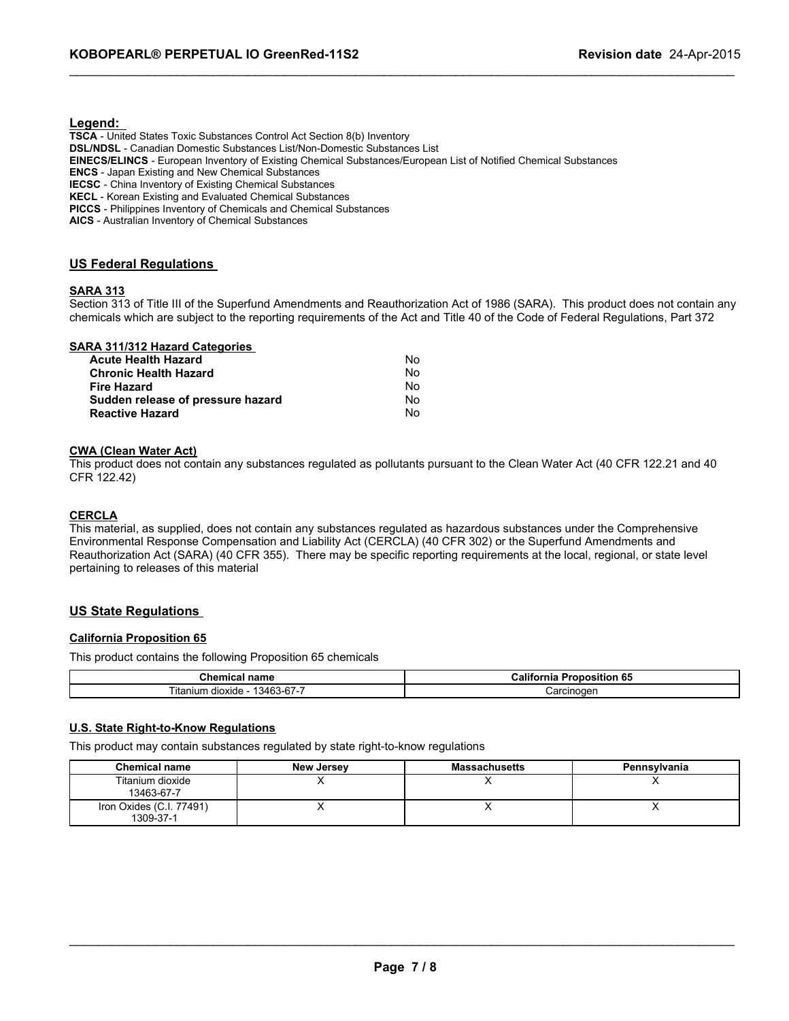## **Legend:**

**TSCA** - United States Toxic Substances Control Act Section 8(b) Inventory **DSL/NDSL** - Canadian Domestic Substances List/Non-Domestic Substances List **EINECS/ELINCS** - European Inventory of Existing Chemical Substances/European List of Notified Chemical Substances **ENCS** - Japan Existing and New Chemical Substances **IECSC** - China Inventory of Existing Chemical Substances **KECL** - Korean Existing and Evaluated Chemical Substances **PICCS** - Philippines Inventory of Chemicals and Chemical Substances

**AICS** - Australian Inventory of Chemical Substances

#### **US Federal Regulations**

#### **SARA 313**

Section 313 of Title III of the Superfund Amendments and Reauthorization Act of 1986 (SARA). This product does not contain any chemicals which are subject to the reporting requirements of the Act and Title 40 of the Code of Federal Regulations, Part 372

\_\_\_\_\_\_\_\_\_\_\_\_\_\_\_\_\_\_\_\_\_\_\_\_\_\_\_\_\_\_\_\_\_\_\_\_\_\_\_\_\_\_\_\_\_\_\_\_\_\_\_\_\_\_\_\_\_\_\_\_\_\_\_\_\_\_\_\_\_\_\_\_\_\_\_\_\_\_\_\_\_\_\_\_\_\_\_\_\_\_\_\_\_

#### **SARA 311/312 Hazard Categories**

| <b>Acute Health Hazard</b>        | N٥ |
|-----------------------------------|----|
| <b>Chronic Health Hazard</b>      | N٥ |
| <b>Fire Hazard</b>                | N٥ |
| Sudden release of pressure hazard | N٥ |
| <b>Reactive Hazard</b>            | N٥ |

#### **CWA (Clean Water Act)**

This product does not contain any substances regulated as pollutants pursuant to the Clean Water Act (40 CFR 122.21 and 40 CFR 122.42)

#### **CERCLA**

This material, as supplied, does not contain any substances regulated as hazardous substances under the Comprehensive Environmental Response Compensation and Liability Act (CERCLA) (40 CFR 302) or the Superfund Amendments and Reauthorization Act (SARA) (40 CFR 355). There may be specific reporting requirements at the local, regional, or state level pertaining to releases of this material

#### **US State Regulations**

#### **California Proposition 65**

This product contains the following Proposition 65 chemicals

| ∪nemıcal name                               | Califo<br>65<br><b>Proposition</b><br>-----<br>rnia |  |
|---------------------------------------------|-----------------------------------------------------|--|
| $\sim$<br>3463-67-7<br>∖ itanium<br>dioxide | Carcinogen                                          |  |

#### **U.S. State Right-to-Know Regulations**

This product may contain substances regulated by state right-to-know regulations

| <b>Chemical name</b>                  | <b>New Jersey</b> | <b>Massachusetts</b> | Pennsylvania |
|---------------------------------------|-------------------|----------------------|--------------|
| Titanium dioxide<br>13463-67-7        |                   |                      |              |
| Iron Oxides (C.I. 77491)<br>1309-37-1 |                   |                      |              |